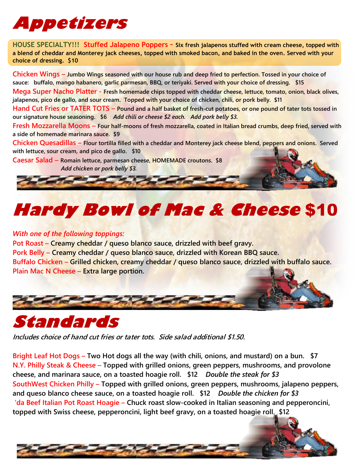## **Appetizers**

**HOUSE SPECIALTY!!! Stuffed Jalapeno Poppers – Six fresh jalapenos stuffed with cream cheese, topped with a blend of cheddar and Monterey jack cheeses, topped with smoked bacon, and baked in the oven. Served with your choice of dressing. \$10**

**Chicken Wings – Jumbo Wings seasoned with our house rub and deep fried to perfection. Tossed in your choice of sauce: buffalo, mango habanero, garlic parmesan, BBQ, or teriyaki. Served with your choice of dressing. \$15 Mega Super Nacho Platter - Fresh homemade chips topped with cheddar cheese, lettuce, tomato, onion, black olives, jalapenos, pico de gallo, and sour cream. Topped with your choice of chicken, chili, or pork belly. \$11**

**Hand Cut Fries or TATER TOTS – Pound and a half basket of fresh-cut potatoes, or one pound of tater tots tossed in our signature house seasoning. \$6** *Add chili or cheese \$2 each. Add pork belly \$3.*

**Fresh Mozzarella Moons – Four half-moons of fresh mozzarella, coated in Italian bread crumbs, deep fried, served with a side of homemade marinara sauce. \$9**

**Chicken Quesadillas – Flour tortilla filled with a cheddar and Monterey jack cheese blend, peppers and onions. Served with lettuce, sour cream, and pico de gallo. \$10**

**Caesar Salad – Romain lettuce, parmesan cheese, HOMEMADE croutons. \$8** *Add chicken or pork belly \$3.*

# **Hardy Bowl of Mac & Cheese** \$10

#### *With one of the following toppings:*

**Pot Roast – Creamy cheddar / queso blanco sauce, drizzled with beef gravy. Pork Belly – Creamy cheddar / queso blanco sauce, drizzled with Korean BBQ sauce. Buffalo Chicken – Grilled chicken, creamy cheddar / queso blanco sauce, drizzled with buffalo sauce. Plain Mac N Cheese – Extra large portion.**





*Includes choice of hand cut fries or tater tots. Side salad additional \$1.50.*

**Bright Leaf Hot Dogs – Two Hot dogs all the way (with chili, onions, and mustard) on a bun. \$7 N.Y. Philly Steak & Cheese – Topped with grilled onions, green peppers, mushrooms, and provolone cheese, and marinara sauce, on a toasted hoagie roll. \$12** *Double the steak for \$3* **SouthWest Chicken Philly – Topped with grilled onions, green peppers, mushrooms, jalapeno peppers, and queso blanco cheese sauce, on a toasted hoagie roll. \$12** *Double the chicken for \$3* **'da Beef Italian Pot Roast Hoagie – Chuck roast slow-cooked in Italian seasoning and pepperoncini, topped with Swiss cheese, pepperoncini, light beef gravy, on a toasted hoagie roll. \$12**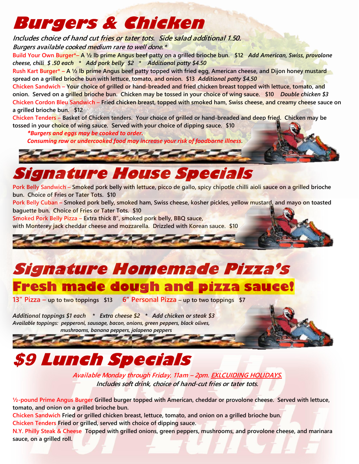## **Burgers & Chicken**

*Includes choice of hand cut fries or tater tots. Side salad additional 1.50.*

*Burgers available cooked medium rare to well done.\**

**Build Your Own Burger\*– A ½ lb prime Angus beef patty on a grilled brioche bun. \$12** *Add American, Swiss, provolone cheese, chili \$ .50 each \* Add pork belly \$2 \* Additional patty \$4.50*

**Rush Kart Burger\* – A ½ lb prime Angus beef patty topped with fried egg, American cheese, and Dijon honey mustard spread on a grilled brioche bun with lettuce, tomato, and onion. \$13** *Additional patty \$4.50*

**Chicken Sandwich – Your choice of grilled or hand-breaded and fried chicken breast topped with lettuce, tomato, and onion. Served on a grilled brioche bun. Chicken may be tossed in your choice of wing sauce. \$10** *Double chicken \$3* **Chicken Cordon Bleu Sandwich – Fried chicken breast, topped with smoked ham, Swiss cheese, and creamy cheese sauce on a grilled brioche bun. \$12**

**Chicken Tenders – Basket of Chicken tenders. Your choice of grilled or hand-breaded and deep fried. Chicken may be tossed in your choice of wing sauce. Served with your choice of dipping sauce. \$10**

 *\*Burgers and eggs may be cooked to order.* 

 *Consuming raw or undercooked food may increase your risk of foodborne illness.*

## **Signature House Specials**

**Pork Belly Sandwich – Smoked pork belly with lettuce, picco de gallo, spicy chipotle chilli aioli sauce on a grilled brioche bun. Choice of Fries or Tater Tots. \$10**

**Pork Belly Cuban – Smoked pork belly, smoked ham, Swiss cheese, kosher pickles, yellow mustard, and mayo on toasted baguette bun. Choice of Fries or Tater Tots. \$10**

**Smoked Pork Belly Pizza – Extra thick 8", smoked pork belly, BBQ sauce,** 

**with Monterey jack cheddar cheese and mozzarella. Drizzled with Korean sauce. \$10**



### **Signature Homemade Pizza's Fresh made dough and pizza sauce!**

**13" Pizza – up to two toppings \$13 6" Personal Pizza – up to two toppings \$7**

**ALL AND AND** 

*Additional toppings \$1 each \* Extra cheese \$2 \* Add chicken or steak \$3 Available toppings: pepperoni, sausage, bacon, onions, green peppers, black olives, mushrooms, banana peppers, jalapeno peppers*

## \$9 **Lunch Specials**

*Available Monday through Friday, 11am – 2pm. EXLCUIDING HOLIDAYS. Includes soft drink, choice of hand-cut fries or tater tots.*

**½-pound Prime Angus Burger Grilled burger topped with American, cheddar or provolone cheese. Served with lettuce, tomato, and onion on a grilled brioche bun.**

**Chicken Sandwich Fried or grilled chicken breast, lettuce, tomato, and onion on a grilled brioche bun. Chicken Tenders Fried or grilled, served with choice of dipping sauce.**

**N.Y. Philly Steak & Cheese Topped with grilled onions, green peppers, mushrooms, and provolone cheese, and marinara sauce, on a grilled roll.**